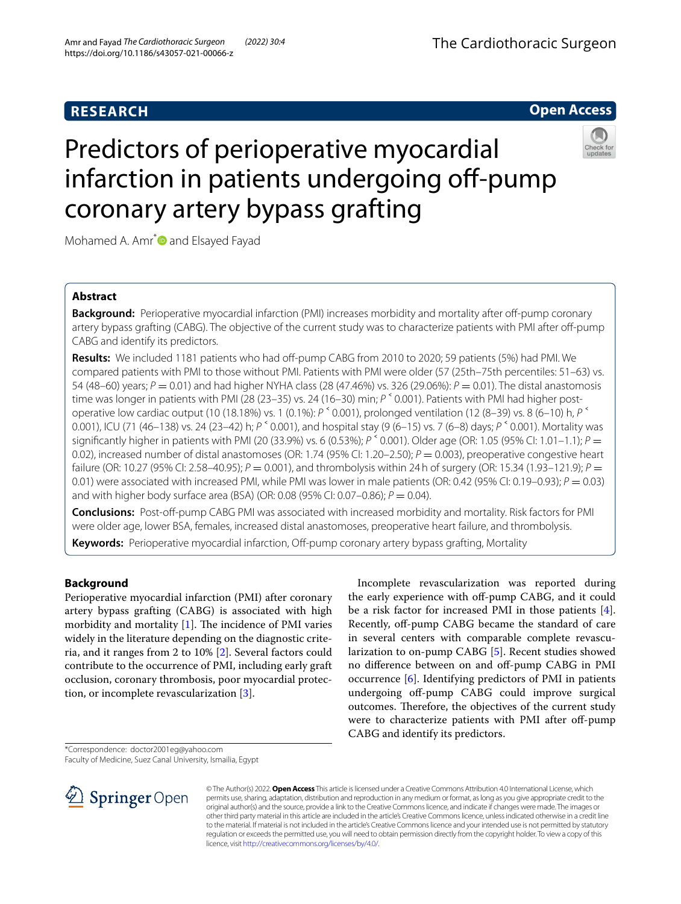# **RESEARCH**

## **Open Access**

# Predictors of perioperative myocardial infarction in patients undergoing off-pump coronary artery bypass grafting



Mohamed A. Amr<sup>[\\*](http://orcid.org/0000-0002-7793-3146)</sup> and Elsayed Fayad

## **Abstract**

**Background:** Perioperative myocardial infarction (PMI) increases morbidity and mortality after off-pump coronary artery bypass grafting (CABG). The objective of the current study was to characterize patients with PMI after off-pump CABG and identify its predictors.

Results: We included 1181 patients who had off-pump CABG from 2010 to 2020; 59 patients (5%) had PMI. We compared patients with PMI to those without PMI. Patients with PMI were older (57 (25th–75th percentiles: 51–63) vs. 54 (48–60) years; *P* = 0.01) and had higher NYHA class (28 (47.46%) vs. 326 (29.06%): *P* = 0.01). The distal anastomosis time was longer in patients with PMI (28 (23–35) vs. 24 (16–30) min;  $P^{\text{S}}$  0.001). Patients with PMI had higher postoperative low cardiac output (10 (18.18%) vs. 1 (0.1%): *P* ˂ 0.001), prolonged ventilation (12 (8–39) vs. 8 (6–10) h, *P* ˂ 0.001), ICU (71 (46–138) vs. 24 (23–42) h; *P* ˂ 0.001), and hospital stay (9 (6–15) vs. 7 (6–8) days; *P* ˂ 0.001). Mortality was significantly higher in patients with PMI (20 (33.9%) vs. 6 (0.53%); *P* <sup><</sup> 0.001). Older age (OR: 1.05 (95% CI: 1.01–1.1); *P* = 0.02), increased number of distal anastomoses (OR: 1.74 (95% CI: 1.20–2.50);  $P = 0.003$ ), preoperative congestive heart failure (OR: 10.27 (95% CI: 2.58–40.95); *P* = 0.001), and thrombolysis within 24h of surgery (OR: 15.34 (1.93–121.9); *P* = 0.01) were associated with increased PMI, while PMI was lower in male patients (OR: 0.42 (95% CI: 0.19–0.93); *P* = 0.03) and with higher body surface area (BSA) (OR: 0.08 (95% CI: 0.07–0.86); *P* = 0.04).

**Conclusions:** Post-of-pump CABG PMI was associated with increased morbidity and mortality. Risk factors for PMI were older age, lower BSA, females, increased distal anastomoses, preoperative heart failure, and thrombolysis. **Keywords:** Perioperative myocardial infarction, Off-pump coronary artery bypass grafting, Mortality

## **Background**

Perioperative myocardial infarction (PMI) after coronary artery bypass grafting (CABG) is associated with high morbidity and mortality  $[1]$  $[1]$ . The incidence of PMI varies widely in the literature depending on the diagnostic criteria, and it ranges from 2 to 10% [\[2](#page-4-1)]. Several factors could contribute to the occurrence of PMI, including early graft occlusion, coronary thrombosis, poor myocardial protection, or incomplete revascularization [[3\]](#page-4-2).

Incomplete revascularization was reported during the early experience with off-pump CABG, and it could be a risk factor for increased PMI in those patients [\[4](#page-4-3)]. Recently, off-pump CABG became the standard of care in several centers with comparable complete revascularization to on-pump CABG [\[5](#page-4-4)]. Recent studies showed no difference between on and off-pump CABG in PMI occurrence [[6\]](#page-4-5). Identifying predictors of PMI in patients undergoing of-pump CABG could improve surgical outcomes. Therefore, the objectives of the current study were to characterize patients with PMI after off-pump CABG and identify its predictors.

Faculty of Medicine, Suez Canal University, Ismailia, Egypt



© The Author(s) 2022. **Open Access** This article is licensed under a Creative Commons Attribution 4.0 International License, which permits use, sharing, adaptation, distribution and reproduction in any medium or format, as long as you give appropriate credit to the original author(s) and the source, provide a link to the Creative Commons licence, and indicate if changes were made. The images or other third party material in this article are included in the article's Creative Commons licence, unless indicated otherwise in a credit line to the material. If material is not included in the article's Creative Commons licence and your intended use is not permitted by statutory regulation or exceeds the permitted use, you will need to obtain permission directly from the copyright holder. To view a copy of this licence, visit [http://creativecommons.org/licenses/by/4.0/.](http://creativecommons.org/licenses/by/4.0/)

<sup>\*</sup>Correspondence: doctor2001eg@yahoo.com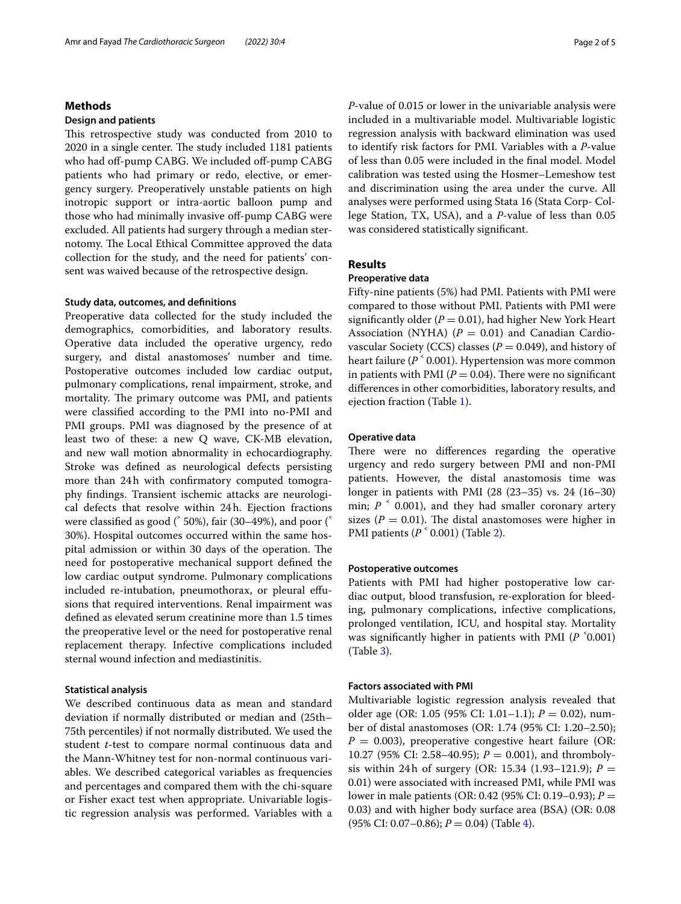## **Methods**

#### **Design and patients**

This retrospective study was conducted from 2010 to 2020 in a single center. The study included 1181 patients who had off-pump CABG. We included off-pump CABG patients who had primary or redo, elective, or emergency surgery. Preoperatively unstable patients on high inotropic support or intra-aortic balloon pump and those who had minimally invasive off-pump CABG were excluded. All patients had surgery through a median sternotomy. The Local Ethical Committee approved the data collection for the study, and the need for patients' consent was waived because of the retrospective design.

#### **Study data, outcomes, and defnitions**

Preoperative data collected for the study included the demographics, comorbidities, and laboratory results. Operative data included the operative urgency, redo surgery, and distal anastomoses' number and time. Postoperative outcomes included low cardiac output, pulmonary complications, renal impairment, stroke, and mortality. The primary outcome was PMI, and patients were classifed according to the PMI into no-PMI and PMI groups. PMI was diagnosed by the presence of at least two of these: a new Q wave, CK-MB elevation, and new wall motion abnormality in echocardiography. Stroke was defned as neurological defects persisting more than 24h with confrmatory computed tomography fndings. Transient ischemic attacks are neurological defects that resolve within 24h. Ejection fractions were classified as good ( $\degree$  50%), fair (30–49%), and poor ( $\degree$ 30%). Hospital outcomes occurred within the same hospital admission or within 30 days of the operation. The need for postoperative mechanical support defned the low cardiac output syndrome. Pulmonary complications included re-intubation, pneumothorax, or pleural efusions that required interventions. Renal impairment was defned as elevated serum creatinine more than 1.5 times the preoperative level or the need for postoperative renal replacement therapy. Infective complications included sternal wound infection and mediastinitis.

#### **Statistical analysis**

We described continuous data as mean and standard deviation if normally distributed or median and (25th– 75th percentiles) if not normally distributed. We used the student *t*-test to compare normal continuous data and the Mann-Whitney test for non-normal continuous variables. We described categorical variables as frequencies and percentages and compared them with the chi-square or Fisher exact test when appropriate. Univariable logistic regression analysis was performed. Variables with a *P*-value of 0.015 or lower in the univariable analysis were included in a multivariable model. Multivariable logistic regression analysis with backward elimination was used to identify risk factors for PMI. Variables with a *P*-value of less than 0.05 were included in the fnal model. Model calibration was tested using the Hosmer–Lemeshow test and discrimination using the area under the curve. All analyses were performed using Stata 16 (Stata Corp- College Station, TX, USA), and a *P*-value of less than 0.05 was considered statistically signifcant.

#### **Results**

#### **Preoperative data**

Fifty-nine patients (5%) had PMI. Patients with PMI were compared to those without PMI. Patients with PMI were significantly older  $(P = 0.01)$ , had higher New York Heart Association (NYHA)  $(P = 0.01)$  and Canadian Cardiovascular Society (CCS) classes  $(P = 0.049)$ , and history of heart failure ( $P^{\text{S}}$  0.001). Hypertension was more common in patients with PMI  $(P = 0.04)$ . There were no significant diferences in other comorbidities, laboratory results, and ejection fraction (Table [1\)](#page-2-0).

## **Operative data**

There were no differences regarding the operative urgency and redo surgery between PMI and non-PMI patients. However, the distal anastomosis time was longer in patients with PMI (28 (23–35) vs. 24 (16–30) min;  $P^{\text{A}}$  0.001), and they had smaller coronary artery sizes ( $P = 0.01$ ). The distal anastomoses were higher in PMI patients (*P* ˂ 0.001) (Table [2\)](#page-2-1).

#### **Postoperative outcomes**

Patients with PMI had higher postoperative low cardiac output, blood transfusion, re-exploration for bleeding, pulmonary complications, infective complications, prolonged ventilation, ICU, and hospital stay. Mortality was signifcantly higher in patients with PMI (*P* ˂0.001) (Table [3\)](#page-3-0).

#### **Factors associated with PMI**

Multivariable logistic regression analysis revealed that older age (OR: 1.05 (95% CI: 1.01–1.1); *P* = 0.02), number of distal anastomoses (OR: 1.74 (95% CI: 1.20–2.50);  $P = 0.003$ ), preoperative congestive heart failure (OR: 10.27 (95% CI: 2.58–40.95); *P* = 0.001), and thrombolysis within 24h of surgery (OR: 15.34 (1.93–121.9);  $P =$ 0.01) were associated with increased PMI, while PMI was lower in male patients (OR: 0.42 (95% CI: 0.19–0.93); *P* = 0.03) and with higher body surface area (BSA) (OR: 0.08 (95% CI: 0.07–0.86); *P* = 0.04) (Table [4](#page-3-1)).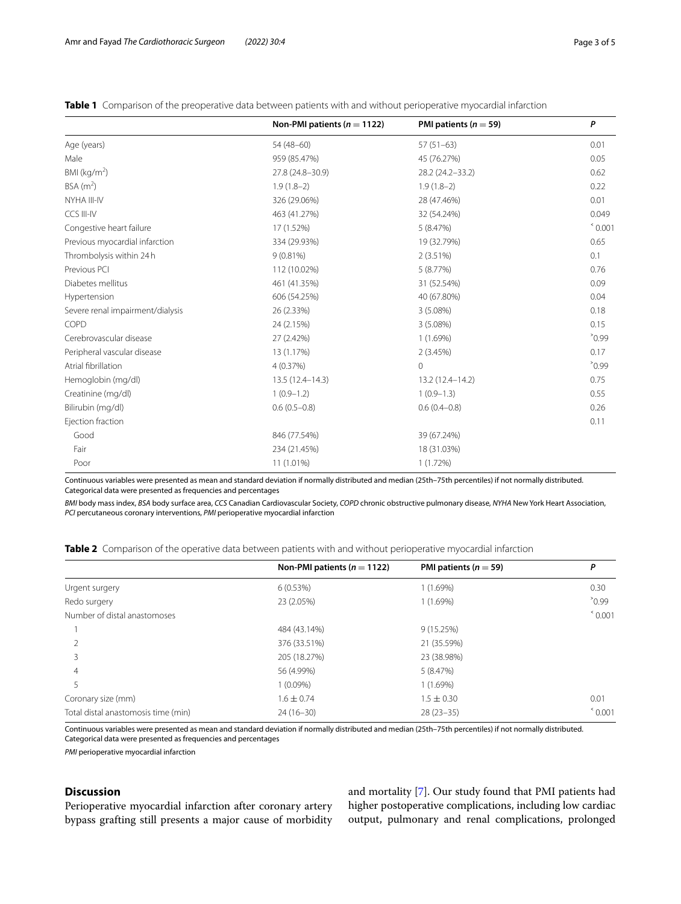|                                  | Non-PMI patients ( $n = 1122$ ) | PMI patients ( $n = 59$ ) | P                |
|----------------------------------|---------------------------------|---------------------------|------------------|
| Age (years)                      | 54 (48-60)                      | $57(51-63)$               | 0.01             |
| Male                             | 959 (85.47%)                    | 45 (76.27%)               | 0.05             |
| BMI ( $\text{kg/m}^2$ )          | 27.8 (24.8-30.9)                | 28.2 (24.2-33.2)          | 0.62             |
| $BSA$ (m <sup>2</sup> )          | $1.9(1.8-2)$                    | $1.9(1.8-2)$              | 0.22             |
| NYHA III-IV                      | 326 (29.06%)                    | 28 (47.46%)               | 0.01             |
| CCS III-IV                       | 463 (41.27%)                    | 32 (54.24%)               | 0.049            |
| Congestive heart failure         | 17 (1.52%)                      | 5(8.47%)                  | $^{\circ}$ 0.001 |
| Previous myocardial infarction   | 334 (29.93%)                    | 19 (32.79%)               | 0.65             |
| Thrombolysis within 24h          | 9(0.81%)                        | $2(3.51\%)$               | 0.1              |
| Previous PCI                     | 112 (10.02%)                    | 5(8.77%)                  | 0.76             |
| Diabetes mellitus                | 461 (41.35%)                    | 31 (52.54%)               | 0.09             |
| Hypertension                     | 606 (54.25%)                    | 40 (67.80%)               | 0.04             |
| Severe renal impairment/dialysis | 26 (2.33%)                      | 3 (5.08%)                 | 0.18             |
| COPD                             | 24 (2.15%)                      | 3 (5.08%)                 | 0.15             |
| Cerebrovascular disease          | 27 (2.42%)                      | 1(1.69%)                  | $^{\circ}0.99$   |
| Peripheral vascular disease      | 13 (1.17%)                      | 2(3.45%)                  | 0.17             |
| Atrial fibrillation              | 4 (0.37%)                       | $\mathbf 0$               | $^{\circ}0.99$   |
| Hemoglobin (mg/dl)               | 13.5 (12.4-14.3)                | 13.2 (12.4-14.2)          | 0.75             |
| Creatinine (mg/dl)               | $1(0.9-1.2)$                    | $1(0.9-1.3)$              | 0.55             |
| Bilirubin (mg/dl)                | $0.6(0.5-0.8)$                  | $0.6(0.4 - 0.8)$          | 0.26             |
| Ejection fraction                |                                 |                           | 0.11             |
| Good                             | 846 (77.54%)                    | 39 (67.24%)               |                  |
| Fair                             | 234 (21.45%)                    | 18 (31.03%)               |                  |
| Poor                             | 11 (1.01%)                      | 1(1.72%)                  |                  |

<span id="page-2-0"></span>**Table 1** Comparison of the preoperative data between patients with and without perioperative myocardial infarction

Continuous variables were presented as mean and standard deviation if normally distributed and median (25th–75th percentiles) if not normally distributed. Categorical data were presented as frequencies and percentages

*BMI* body mass index, *BSA* body surface area, *CCS* Canadian Cardiovascular Society, *COPD* chronic obstructive pulmonary disease, *NYHA* New York Heart Association, *PCI* percutaneous coronary interventions, *PMI* perioperative myocardial infarction

<span id="page-2-1"></span>

|  |  |  | <b>Table 2</b> Comparison of the operative data between patients with and without perioperative myocardial infarction |
|--|--|--|-----------------------------------------------------------------------------------------------------------------------|
|  |  |  |                                                                                                                       |

|                                     | Non-PMI patients ( $n = 1122$ ) | PMI patients ( $n = 59$ ) | P                |
|-------------------------------------|---------------------------------|---------------------------|------------------|
| Urgent surgery                      | 6(0.53%)                        | 1(1.69%)                  | 0.30             |
| Redo surgery                        | 23 (2.05%)                      | 1(1.69%)                  | $^{\circ}0.99$   |
| Number of distal anastomoses        |                                 |                           | $^{\circ}$ 0.001 |
|                                     | 484 (43.14%)                    | 9(15.25%)                 |                  |
|                                     | 376 (33.51%)                    | 21 (35.59%)               |                  |
|                                     | 205 (18.27%)                    | 23 (38.98%)               |                  |
| 4                                   | 56 (4.99%)                      | 5(8.47%)                  |                  |
| 5                                   | $1(0.09\%)$                     | 1(1.69%)                  |                  |
| Coronary size (mm)                  | $1.6 \pm 0.74$                  | $1.5 \pm 0.30$            | 0.01             |
| Total distal anastomosis time (min) | $24(16-30)$                     | $28(23-35)$               | $^{\circ}$ 0.001 |

Continuous variables were presented as mean and standard deviation if normally distributed and median (25th–75th percentiles) if not normally distributed. Categorical data were presented as frequencies and percentages

*PMI* perioperative myocardial infarction

## **Discussion**

Perioperative myocardial infarction after coronary artery bypass grafting still presents a major cause of morbidity and mortality [[7\]](#page-4-6). Our study found that PMI patients had higher postoperative complications, including low cardiac output, pulmonary and renal complications, prolonged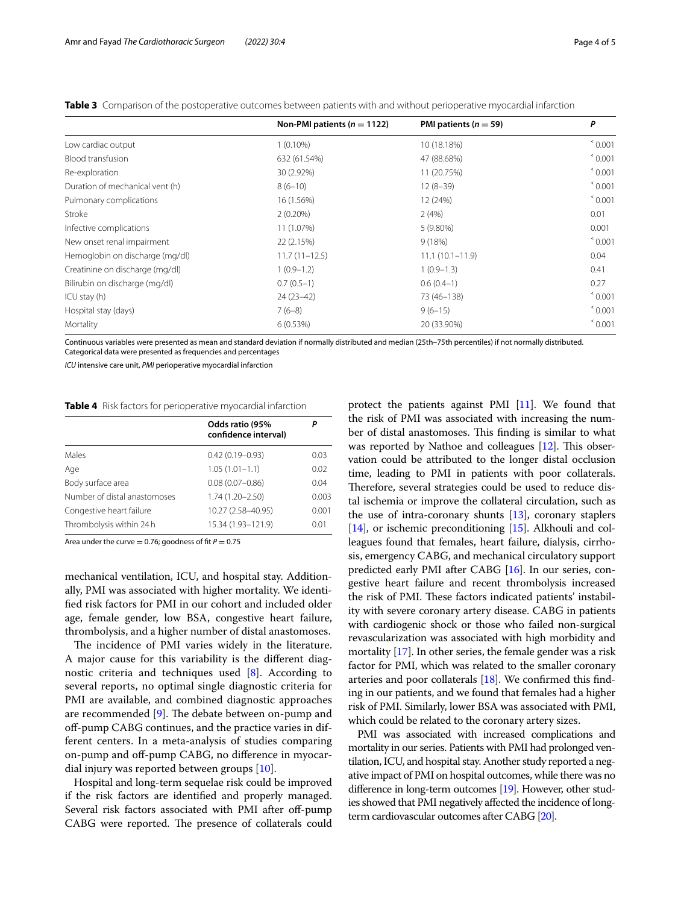|                                 | Non-PMI patients ( $n = 1122$ ) | PMI patients ( $n = 59$ ) | P                |
|---------------------------------|---------------------------------|---------------------------|------------------|
| Low cardiac output              | $1(0.10\%)$                     | 10 (18.18%)               | $^{\circ}$ 0.001 |
| Blood transfusion               | 632 (61.54%)                    | 47 (88.68%)               | $^{\circ}$ 0.001 |
| Re-exploration                  | 30 (2.92%)                      | 11 (20.75%)               | $^{\circ}$ 0.001 |
| Duration of mechanical vent (h) | $8(6-10)$                       | $12(8-39)$                | $^{\circ}$ 0.001 |
| Pulmonary complications         | 16 (1.56%)                      | 12 (24%)                  | $^{\circ}$ 0.001 |
| Stroke                          | $2(0.20\%)$                     | 2(4%)                     | 0.01             |
| Infective complications         | 11 (1.07%)                      | 5 (9.80%)                 | 0.001            |
| New onset renal impairment      | 22 (2.15%)                      | 9(18%)                    | $^{\circ}$ 0.001 |
| Hemoglobin on discharge (mg/dl) | $11.7(11 - 12.5)$               | $11.1(10.1 - 11.9)$       | 0.04             |
| Creatinine on discharge (mg/dl) | $1(0.9-1.2)$                    | $1(0.9-1.3)$              | 0.41             |
| Bilirubin on discharge (mg/dl)  | $0.7(0.5-1)$                    | $0.6(0.4-1)$              | 0.27             |
| ICU stay (h)                    | $24(23-42)$                     | 73 (46-138)               | $^{\circ}$ 0.001 |
| Hospital stay (days)            | $7(6-8)$                        | $9(6-15)$                 | $^{\circ}$ 0.001 |
| Mortality                       | 6(0.53%)                        | 20 (33.90%)               | $^{\circ}$ 0.001 |

<span id="page-3-0"></span>**Table 3** Comparison of the postoperative outcomes between patients with and without perioperative myocardial infarction

Continuous variables were presented as mean and standard deviation if normally distributed and median (25th–75th percentiles) if not normally distributed. Categorical data were presented as frequencies and percentages

*ICU* intensive care unit, *PMI* perioperative myocardial infarction

#### <span id="page-3-1"></span>**Table 4** Risk factors for perioperative myocardial infarction

|                              | Odds ratio (95%<br>confidence interval) | Р     |
|------------------------------|-----------------------------------------|-------|
| Males                        | $0.42(0.19 - 0.93)$                     | 0.03  |
| Age                          | $1.05(1.01 - 1.1)$                      | 0.02  |
| Body surface area            | $0.08(0.07 - 0.86)$                     | 0.04  |
| Number of distal anastomoses | $1.74(1.20 - 2.50)$                     | 0.003 |
| Congestive heart failure     | 10.27 (2.58-40.95)                      | 0.001 |
| Thrombolysis within 24 h     | 15.34 (1.93-121.9)                      | 0.01  |
|                              |                                         |       |

Area under the curve  $= 0.76$ ; goodness of fit  $P = 0.75$ 

mechanical ventilation, ICU, and hospital stay. Additionally, PMI was associated with higher mortality. We identifed risk factors for PMI in our cohort and included older age, female gender, low BSA, congestive heart failure, thrombolysis, and a higher number of distal anastomoses.

The incidence of PMI varies widely in the literature. A major cause for this variability is the diferent diagnostic criteria and techniques used [\[8\]](#page-4-7). According to several reports, no optimal single diagnostic criteria for PMI are available, and combined diagnostic approaches are recommended  $[9]$  $[9]$ . The debate between on-pump and off-pump CABG continues, and the practice varies in different centers. In a meta-analysis of studies comparing on-pump and off-pump CABG, no difference in myocardial injury was reported between groups [[10\]](#page-4-9).

Hospital and long-term sequelae risk could be improved if the risk factors are identifed and properly managed. Several risk factors associated with PMI after off-pump CABG were reported. The presence of collaterals could

protect the patients against PMI [\[11\]](#page-4-10). We found that the risk of PMI was associated with increasing the number of distal anastomoses. This finding is similar to what was reported by Nathoe and colleagues  $[12]$ . This observation could be attributed to the longer distal occlusion time, leading to PMI in patients with poor collaterals. Therefore, several strategies could be used to reduce distal ischemia or improve the collateral circulation, such as the use of intra-coronary shunts  $[13]$  $[13]$ , coronary staplers [[14](#page-4-13)], or ischemic preconditioning [\[15\]](#page-4-14). Alkhouli and colleagues found that females, heart failure, dialysis, cirrhosis, emergency CABG, and mechanical circulatory support predicted early PMI after CABG [[16](#page-4-15)]. In our series, congestive heart failure and recent thrombolysis increased the risk of PMI. These factors indicated patients' instability with severe coronary artery disease. CABG in patients with cardiogenic shock or those who failed non-surgical revascularization was associated with high morbidity and mortality [\[17\]](#page-4-16). In other series, the female gender was a risk factor for PMI, which was related to the smaller coronary arteries and poor collaterals [\[18\]](#page-4-17). We confrmed this fnding in our patients, and we found that females had a higher risk of PMI. Similarly, lower BSA was associated with PMI, which could be related to the coronary artery sizes.

PMI was associated with increased complications and mortality in our series. Patients with PMI had prolonged ventilation, ICU, and hospital stay. Another study reported a negative impact of PMI on hospital outcomes, while there was no difference in long-term outcomes [\[19](#page-4-18)]. However, other studies showed that PMI negatively afected the incidence of longterm cardiovascular outcomes after CABG [\[20](#page-4-19)].